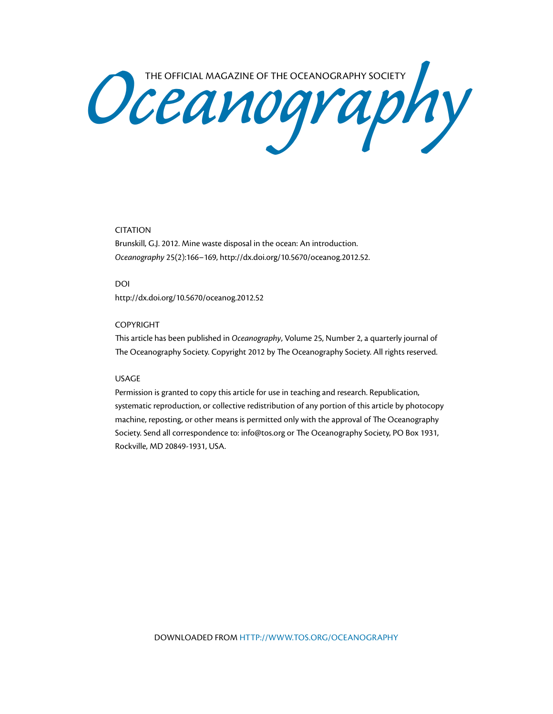Oceanography Society

## CITATION

Brunskill, G.J. 2012. Mine waste disposal in the ocean: An introduction. *Oceanography* 25(2):166–169, <http://dx.doi.org/10.5670/oceanog.2012.52>.

DOI <http://dx.doi.org/10.5670/oceanog.2012.52>

### COPYRIGHT

This article has been published in *Oceanography*, Volume 25, Number 2, a quarterly journal of The Oceanography Society. Copyright 2012 by The Oceanography Society. All rights reserved.

### USAGE

Permission is granted to copy this article for use in teaching and research. Republication, systematic reproduction, or collective redistribution of any portion of this article by photocopy machine, reposting, or other means is permitted only with the approval of The Oceanography Society. Send all correspondence to: [info@tos.org](mailto:info@tos.org) or The Oceanography Society, PO Box 1931, Rockville, MD 20849-1931, USA.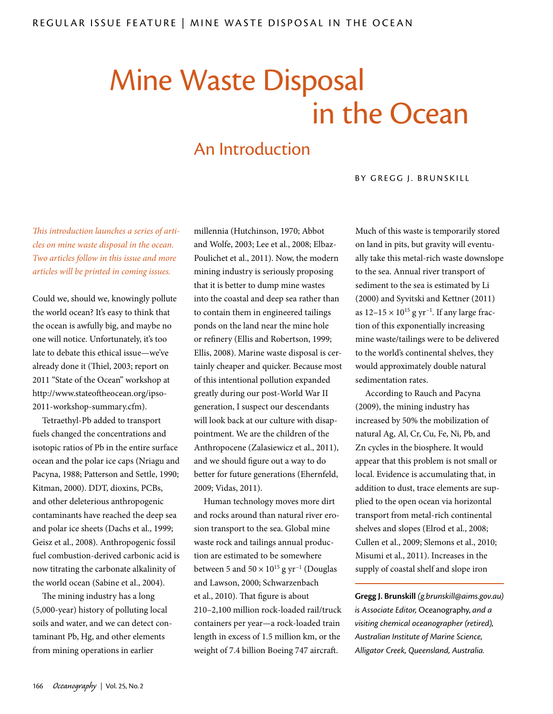# Mine Waste Disposal in the Ocean

# An Introduction

## BY GREGG J. BRUNSKILL

*This introduction launches a series of articles on mine waste disposal in the ocean. Two articles follow in this issue and more articles will be printed in coming issues.*

Could we, should we, knowingly pollute the world ocean? It's easy to think that the ocean is awfully big, and maybe no one will notice. Unfortunately, it's too late to debate this ethical issue—we've already done it (Thiel, 2003; report on 2011 "State of the Ocean" workshop at [http://www.stateoftheocean.org/ipso-](http://www.stateoftheocean.org/ipso-2011-workshop-summary.cfm)[2011-workshop-summary.cfm](http://www.stateoftheocean.org/ipso-2011-workshop-summary.cfm)).

Tetraethyl-Pb added to transport fuels changed the concentrations and isotopic ratios of Pb in the entire surface ocean and the polar ice caps (Nriagu and Pacyna, 1988; Patterson and Settle, 1990; Kitman, 2000). DDT, dioxins, PCBs, and other deleterious anthropogenic contaminants have reached the deep sea and polar ice sheets (Dachs et al., 1999; Geisz et al., 2008). Anthropogenic fossil fuel combustion-derived carbonic acid is now titrating the carbonate alkalinity of the world ocean (Sabine et al., 2004).

The mining industry has a long (5,000-year) history of polluting local soils and water, and we can detect contaminant Pb, Hg, and other elements from mining operations in earlier

millennia (Hutchinson, 1970; Abbot and Wolfe, 2003; Lee et al., 2008; Elbaz-Poulichet et al., 2011). Now, the modern mining industry is seriously proposing that it is better to dump mine wastes into the coastal and deep sea rather than to contain them in engineered tailings ponds on the land near the mine hole or refinery (Ellis and Robertson, 1999; Ellis, 2008). Marine waste disposal is certainly cheaper and quicker. Because most of this intentional pollution expanded greatly during our post-World War II generation, I suspect our descendants will look back at our culture with disappointment. We are the children of the Anthropocene (Zalasiewicz et al., 2011), and we should figure out a way to do better for future generations (Ehernfeld, 2009; Vidas, 2011).

Human technology moves more dirt and rocks around than natural river erosion transport to the sea. Global mine waste rock and tailings annual production are estimated to be somewhere between 5 and  $50 \times 10^{15}$  g yr<sup>-1</sup> (Douglas and Lawson, 2000; Schwarzenbach et al., 2010). That figure is about 210–2,100 million rock-loaded rail/truck containers per year—a rock-loaded train length in excess of 1.5 million km, or the weight of 7.4 billion Boeing 747 aircraft.

Much of this waste is temporarily stored on land in pits, but gravity will eventually take this metal-rich waste downslope to the sea. Annual river transport of sediment to the sea is estimated by Li (2000) and Syvitski and Kettner (2011) as  $12-15 \times 10^{15}$  g yr<sup>-1</sup>. If any large fraction of this exponentially increasing mine waste/tailings were to be delivered to the world's continental shelves, they would approximately double natural sedimentation rates.

According to Rauch and Pacyna (2009), the mining industry has increased by 50% the mobilization of natural Ag, Al, Cr, Cu, Fe, Ni, Pb, and Zn cycles in the biosphere. It would appear that this problem is not small or local. Evidence is accumulating that, in addition to dust, trace elements are supplied to the open ocean via horizontal transport from metal-rich continental shelves and slopes (Elrod et al., 2008; Cullen et al., 2009; Slemons et al., 2010; Misumi et al., 2011). Increases in the supply of coastal shelf and slope iron

**Gregg J. Brunskill** *([g.brunskill@aims.gov.au\)](mailto:g.brunskill@aims.gov.au) is Associate Editor,* Oceanography, *and a visiting chemical oceanographer (retired), Australian Institute of Marine Science, Alligator Creek, Queensland, Australia.*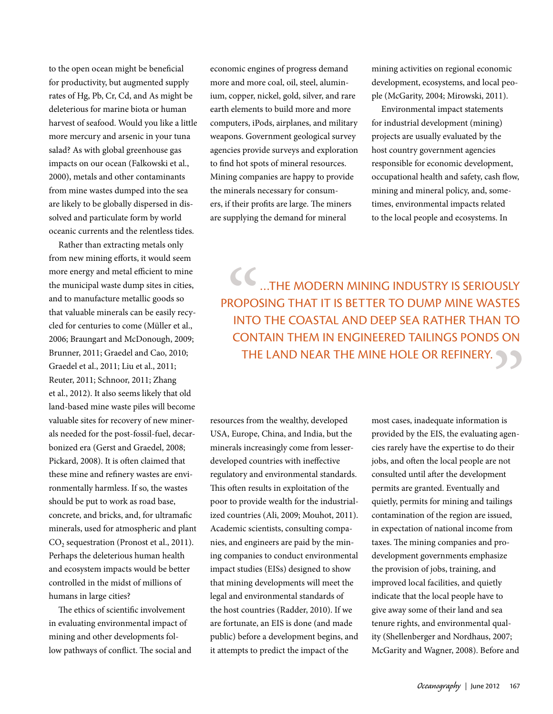to the open ocean might be beneficial for productivity, but augmented supply rates of Hg, Pb, Cr, Cd, and As might be deleterious for marine biota or human harvest of seafood. Would you like a little more mercury and arsenic in your tuna salad? As with global greenhouse gas impacts on our ocean (Falkowski et al., 2000), metals and other contaminants from mine wastes dumped into the sea are likely to be globally dispersed in dissolved and particulate form by world oceanic currents and the relentless tides.

Rather than extracting metals only from new mining efforts, it would seem more energy and metal efficient to mine the municipal waste dump sites in cities, and to manufacture metallic goods so that valuable minerals can be easily recycled for centuries to come (Müller et al., 2006; Braungart and McDonough, 2009; Brunner, 2011; Graedel and Cao, 2010; Graedel et al., 2011; Liu et al., 2011; Reuter, 2011; Schnoor, 2011; Zhang et al., 2012). It also seems likely that old land-based mine waste piles will become valuable sites for recovery of new minerals needed for the post-fossil-fuel, decarbonized era (Gerst and Graedel, 2008; Pickard, 2008). It is often claimed that these mine and refinery wastes are environmentally harmless. If so, the wastes should be put to work as road base, concrete, and bricks, and, for ultramafic minerals, used for atmospheric and plant CO<sub>2</sub> sequestration (Pronost et al., 2011). Perhaps the deleterious human health and ecosystem impacts would be better controlled in the midst of millions of humans in large cities?

The ethics of scientific involvement in evaluating environmental impact of mining and other developments follow pathways of conflict. The social and economic engines of progress demand more and more coal, oil, steel, aluminium, copper, nickel, gold, silver, and rare earth elements to build more and more computers, iPods, airplanes, and military weapons. Government geological survey agencies provide surveys and exploration to find hot spots of mineral resources. Mining companies are happy to provide the minerals necessary for consumers, if their profits are large. The miners are supplying the demand for mineral

mining activities on regional economic development, ecosystems, and local people (McGarity, 2004; Mirowski, 2011).

Environmental impact statements for industrial development (mining) projects are usually evaluated by the host country government agencies responsible for economic development, occupational health and safety, cash flow, mining and mineral policy, and, sometimes, environmental impacts related to the local people and ecosystems. In

CC<br>ROPO<br>INTC<br>CON' …the modern mining industry is seriously proposing that it is better to dump mine wastes into the coastal and deep sea rather than to contain them in engineered tailings ponds on THE LAND NEAR THE MINE HOLE OR REFINERY.

resources from the wealthy, developed USA, Europe, China, and India, but the minerals increasingly come from lesserdeveloped countries with ineffective regulatory and environmental standards. This often results in exploitation of the poor to provide wealth for the industrialized countries (Ali, 2009; Mouhot, 2011). Academic scientists, consulting companies, and engineers are paid by the mining companies to conduct environmental impact studies (EISs) designed to show that mining developments will meet the legal and environmental standards of the host countries (Radder, 2010). If we are fortunate, an EIS is done (and made public) before a development begins, and it attempts to predict the impact of the

most cases, inadequate information is provided by the EIS, the evaluating agencies rarely have the expertise to do their jobs, and often the local people are not consulted until after the development permits are granted. Eventually and quietly, permits for mining and tailings contamination of the region are issued, in expectation of national income from taxes. The mining companies and prodevelopment governments emphasize the provision of jobs, training, and improved local facilities, and quietly indicate that the local people have to give away some of their land and sea tenure rights, and environmental quality (Shellenberger and Nordhaus, 2007; McGarity and Wagner, 2008). Before and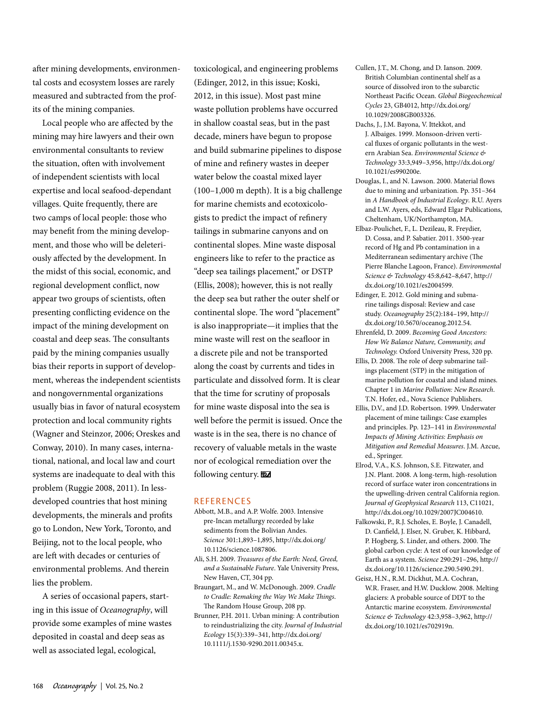after mining developments, environmental costs and ecosystem losses are rarely measured and subtracted from the profits of the mining companies.

Local people who are affected by the mining may hire lawyers and their own environmental consultants to review the situation, often with involvement of independent scientists with local expertise and local seafood-dependant villages. Quite frequently, there are two camps of local people: those who may benefit from the mining development, and those who will be deleteriously affected by the development. In the midst of this social, economic, and regional development conflict, now appear two groups of scientists, often presenting conflicting evidence on the impact of the mining development on coastal and deep seas. The consultants paid by the mining companies usually bias their reports in support of development, whereas the independent scientists and nongovernmental organizations usually bias in favor of natural ecosystem protection and local community rights (Wagner and Steinzor, 2006; Oreskes and Conway, 2010). In many cases, international, national, and local law and court systems are inadequate to deal with this problem (Ruggie 2008, 2011). In lessdeveloped countries that host mining developments, the minerals and profits go to London, New York, Toronto, and Beijing, not to the local people, who are left with decades or centuries of environmental problems. And therein lies the problem.

A series of occasional papers, starting in this issue of *Oceanography*, will provide some examples of mine wastes deposited in coastal and deep seas as well as associated legal, ecological,

toxicological, and engineering problems (Edinger, 2012, in this issue; Koski, 2012, in this issue). Most past mine waste pollution problems have occurred in shallow coastal seas, but in the past decade, miners have begun to propose and build submarine pipelines to dispose of mine and refinery wastes in deeper water below the coastal mixed layer (100–1,000 m depth). It is a big challenge for marine chemists and ecotoxicologists to predict the impact of refinery tailings in submarine canyons and on continental slopes. Mine waste disposal engineers like to refer to the practice as "deep sea tailings placement," or DSTP (Ellis, 2008); however, this is not really the deep sea but rather the outer shelf or continental slope. The word "placement" is also inappropriate—it implies that the mine waste will rest on the seafloor in a discrete pile and not be transported along the coast by currents and tides in particulate and dissolved form. It is clear that the time for scrutiny of proposals for mine waste disposal into the sea is well before the permit is issued. Once the waste is in the sea, there is no chance of recovery of valuable metals in the waste nor of ecological remediation over the following century.

#### **REFERENCES**

- Abbott, M.B., and A.P. Wolfe. 2003. Intensive pre-Incan metallurgy recorded by lake sediments from the Bolivian Andes. *Science* 301:1,893–1,895, [http://dx.doi.org/](http://dx.doi.org/10.1126/science.1087806) [10.1126/science.1087806.](http://dx.doi.org/10.1126/science.1087806)
- Ali, S.H. 2009. *Treasures of the Earth: Need, Greed, and a Sustainable Future*. Yale University Press, New Haven, CT, 304 pp.
- Braungart, M., and W. McDonough. 2009. *Cradle to Cradle: Remaking the Way We Make Things*. The Random House Group, 208 pp.
- Brunner, P.H. 2011. Urban mining: A contribution to reindustrializing the city. *Journal of Industrial Ecology* 15(3):339–341, [http://dx.doi.org/](http://dx.doi.org/10.1111/j.1530-9290.2011.00345.x) [10.1111/j.1530-9290.2011.00345.x](http://dx.doi.org/10.1111/j.1530-9290.2011.00345.x).
- Cullen, J.T., M. Chong, and D. Ianson. 2009. British Columbian continental shelf as a source of dissolved iron to the subarctic Northeast Pacific Ocean. *Global Biogeochemical Cycles* 23, GB4012, [http://dx.doi.org/](http://dx.doi.org/10.1029/2008GB003326) [10.1029/2008GB003326.](http://dx.doi.org/10.1029/2008GB003326)
- Dachs, J., J.M. Bayona, V. Ittekkot, and J. Albaiges. 1999. Monsoon-driven vertical fluxes of organic pollutants in the western Arabian Sea. *Environmental Science & Technology* 33:3,949–3,956, [http://dx.doi.org/](http://dx.doi.org/10.1021/es990200e) [10.1021/es990200e.](http://dx.doi.org/10.1021/es990200e)
- Douglas, I., and N. Lawson. 2000. Material flows due to mining and urbanization. Pp. 351–364 in *A Handbook of Industrial Ecology*. R.U. Ayers and L.W. Ayers, eds, Edward Elgar Publications, Cheltenham, UK/Northampton, MA.
- Elbaz-Poulichet, F., L. Dezileau, R. Freydier, D. Cossa, and P. Sabatier. 2011. 3500-year record of Hg and Pb contamination in a Mediterranean sedimentary archive (The Pierre Blanche Lagoon, France). *Environmental Science & Technology* 45:8,642–8,647, [http://](http://dx.doi.org/10.1021/es2004599) [dx.doi.org/10.1021/es2004599](http://dx.doi.org/10.1021/es2004599).
- Edinger, E. 2012. Gold mining and submarine tailings disposal: Review and case study. *Oceanography* 25(2):184–199, [http://](http://dx.doi.org/10.5670/oceanog.2012.54) [dx.doi.org/10.5670/oceanog.2012.54](http://dx.doi.org/10.5670/oceanog.2012.54).
- Ehrenfeld, D. 2009. *Becoming Good Ancestors: How We Balance Nature, Community, and Technology.* Oxford University Press, 320 pp.
- Ellis, D. 2008. The role of deep submarine tailings placement (STP) in the mitigation of marine pollution for coastal and island mines. Chapter 1 in *Marine Pollution: New Research*. T.N. Hofer, ed., Nova Science Publishers.
- Ellis, D.V., and J.D. Robertson. 1999. Underwater placement of mine tailings: Case examples and principles. Pp. 123–141 in *Environmental Impacts of Mining Activities: Emphasis on Mitigation and Remedial Measures*. J.M. Azcue, ed., Springer.
- Elrod, V.A., K.S. Johnson, S.E. Fitzwater, and J.N. Plant. 2008. A long-term, high-resolution record of surface water iron concentrations in the upwelling-driven central California region. *Journal of Geophysical Research* 113, C11021, [http://dx.doi.org/10.1029/2007JC004610.](http://dx.doi.org/10.1029/2007JC004610)
- Falkowski, P., R.J. Scholes, E. Boyle, J. Canadell, D. Canfield, J. Elser, N. Gruber, K. Hibbard, P. Hogberg, S. Linder, and others. 2000. The global carbon cycle: A test of our knowledge of Earth as a system. *Science* 290:291–296, [http://](http://dx.doi.org/10.1126/science.290.5490.291) [dx.doi.org/10.1126/science.290.5490.291](http://dx.doi.org/10.1126/science.290.5490.291).
- Geisz, H.N., R.M. Dickhut, M.A. Cochran, W.R. Fraser, and H.W. Ducklow. 2008. Melting glaciers: A probable source of DDT to the Antarctic marine ecosystem. *Environmental Science & Technology* 42:3,958–3,962, [http://](http://dx.doi.org/10.1021/es702919n) [dx.doi.org/10.1021/es702919n.](http://dx.doi.org/10.1021/es702919n)